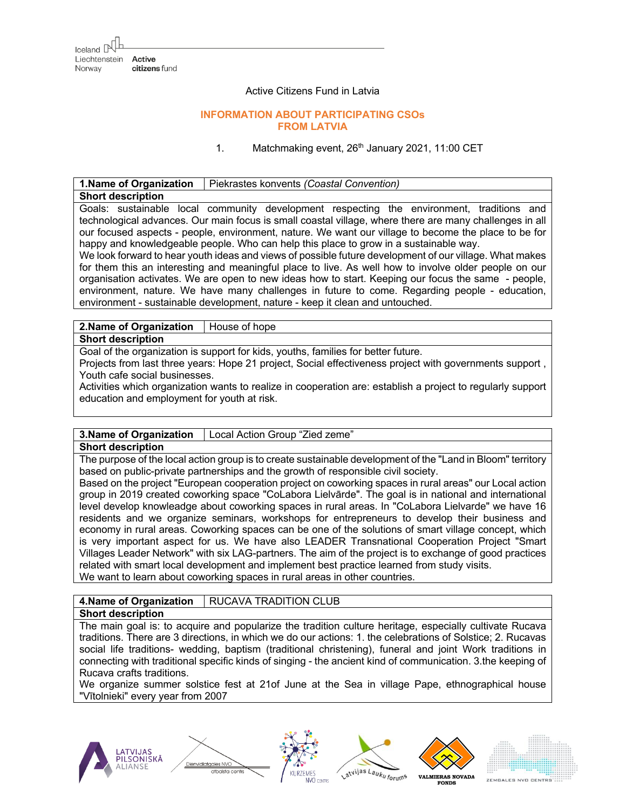### Active Citizens Fund in Latvia

## **INFORMATION ABOUT PARTICIPATING CSOs FROM LATVIA**

1. Matchmaking event, 26<sup>th</sup> January 2021, 11:00 CET

| 1. Name of Organization                                                                                 | Piekrastes konvents (Coastal Convention)                                                  |  |
|---------------------------------------------------------------------------------------------------------|-------------------------------------------------------------------------------------------|--|
| <b>Short description</b>                                                                                |                                                                                           |  |
|                                                                                                         | Goals: sustainable local community development respecting the environment, traditions and |  |
| technological advances. Our main focus is small coastal village, where there are many challenges in all |                                                                                           |  |
| our focused aspects - people, environment, nature. We want our village to become the place to be for    |                                                                                           |  |
| happy and knowledgeable people. Who can help this place to grow in a sustainable way.                   |                                                                                           |  |
| We look forward to hear youth ideas and views of possible future development of our village. What makes |                                                                                           |  |
| for them this an interesting and meaningful place to live. As well how to involve older people on our   |                                                                                           |  |
| organisation activates. We are open to new ideas how to start. Keeping our focus the same - people,     |                                                                                           |  |
| environment, nature. We have many challenges in future to come. Regarding people - education,           |                                                                                           |  |
| environment - sustainable development, nature - keep it clean and untouched.                            |                                                                                           |  |
|                                                                                                         |                                                                                           |  |

**2.Name of Organization** | House of hope

**Short description**

Goal of the organization is support for kids, youths, families for better future.

Projects from last three years: Hope 21 project, Social effectiveness project with governments support , Youth cafe social businesses.

Activities which organization wants to realize in cooperation are: establish a project to regularly support education and employment for youth at risk.

## **3.Name of Organization** Local Action Group "Zied zeme"

### **Short description**

The purpose of the local action group is to create sustainable development of the "Land in Bloom" territory based on public-private partnerships and the growth of responsible civil society.

Based on the project "European cooperation project on coworking spaces in rural areas" our Local action group in 2019 created coworking space "CoLabora Lielvārde". The goal is in national and international level develop knowleadge about coworking spaces in rural areas. In "CoLabora Lielvarde" we have 16 residents and we organize seminars, workshops for entrepreneurs to develop their business and economy in rural areas. Coworking spaces can be one of the solutions of smart village concept, which is very important aspect for us. We have also LEADER Transnational Cooperation Project "Smart Villages Leader Network" with six LAG-partners. The aim of the project is to exchange of good practices related with smart local development and implement best practice learned from study visits. We want to learn about coworking spaces in rural areas in other countries.

#### **4.Name of Organization** | RUCAVA TRADITION CLUB **Short description**

Dienvidlatgales NVC

The main goal is: to acquire and popularize the tradition culture heritage, especially cultivate Rucava traditions. There are 3 directions, in which we do our actions: 1. the celebrations of Solstice; 2. Rucavas social life traditions- wedding, baptism (traditional christening), funeral and joint Work traditions in connecting with traditional specific kinds of singing - the ancient kind of communication. 3.the keeping of Rucava crafts traditions.

We organize summer solstice fest at 21of June at the Sea in village Pape, ethnographical house "Vītolnieki" every year from 2007









**FONDS** 

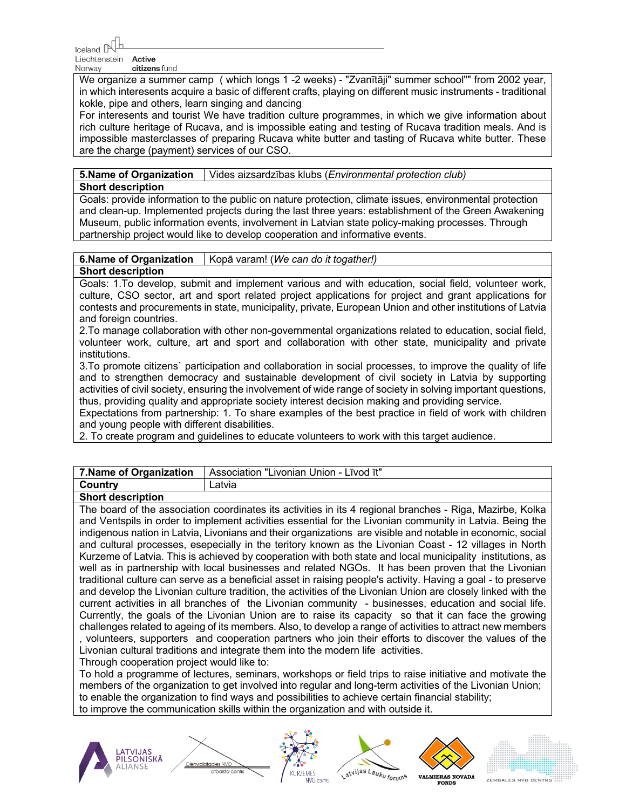Liechtenstein Active Norway citizens fund

We organize a summer camp ( which longs 1 -2 weeks) - "Zvanītāji" summer school"" from 2002 year, in which interesents acquire a basic of different crafts, playing on different music instruments - traditional kokle, pipe and others, learn singing and dancing

For interesents and tourist We have tradition culture programmes, in which we give information about rich culture heritage of Rucava, and is impossible eating and testing of Rucava tradition meals. And is impossible masterclasses of preparing Rucava white butter and tasting of Rucava white butter. These are the charge (payment) services of our CSO.

**5.Name of Organization** Vides aizsardzības klubs (*Environmental protection club)*

## **Short description**

Goals: provide information to the public on nature protection, climate issues, environmental protection and clean-up. Implemented projects during the last three years: establishment of the Green Awakening Museum, public information events, involvement in Latvian state policy-making processes. Through partnership project would like to develop cooperation and informative events.

# **6.Name of Organization** | Kopā varam! (*We can do it togather!*)

# **Short description**

Goals: 1.To develop, submit and implement various and with education, social field, volunteer work, culture, CSO sector, art and sport related project applications for project and grant applications for contests and procurements in state, municipality, private, European Union and other institutions of Latvia and foreign countries.

2.To manage collaboration with other non-governmental organizations related to education, social field, volunteer work, culture, art and sport and collaboration with other state, municipality and private institutions.

3.To promote citizens` participation and collaboration in social processes, to improve the quality of life and to strengthen democracy and sustainable development of civil society in Latvia by supporting activities of civil society, ensuring the involvement of wide range of society in solving important questions, thus, providing quality and appropriate society interest decision making and providing service.

Expectations from partnership: 1. To share examples of the best practice in field of work with children and young people with different disabilities.

2. To create program and guidelines to educate volunteers to work with this target audience.

|         | 7. Name of Organization   Association "Livonian Union - Livod it" |
|---------|-------------------------------------------------------------------|
| Country | Latvia                                                            |

## **Short description**

The board of the association coordinates its activities in its 4 regional branches - Riga, Mazirbe, Kolka and Ventspils in order to implement activities essential for the Livonian community in Latvia. Being the indigenous nation in Latvia, Livonians and their organizations are visible and notable in economic, social and cultural processes, esepecially in the teritory known as the Livonian Coast - 12 villages in North Kurzeme of Latvia. This is achieved by cooperation with both state and local municipality institutions, as well as in partnership with local businesses and related NGOs. It has been proven that the Livonian traditional culture can serve as a beneficial asset in raising people's activity. Having a goal - to preserve and develop the Livonian culture tradition, the activities of the Livonian Union are closely linked with the current activities in all branches of the Livonian community - businesses, education and social life. Currently, the goals of the Livonian Union are to raise its capacity so that it can face the growing challenges related to ageing of its members. Also, to develop a range of activities to attract new members , volunteers, supporters and cooperation partners who join their efforts to discover the values of the Livonian cultural traditions and integrate them into the modern life activities.

Through cooperation project would like to:

Dienvidlatgales NVO

To hold a programme of lectures, seminars, workshops or field trips to raise initiative and motivate the members of the organization to get involved into regular and long-term activities of the Livonian Union; to enable the organization to find ways and possibilities to achieve certain financial stability; to improve the communication skills within the organization and with outside it.









**FONDS** 



ZEMGALES NVD CENTRS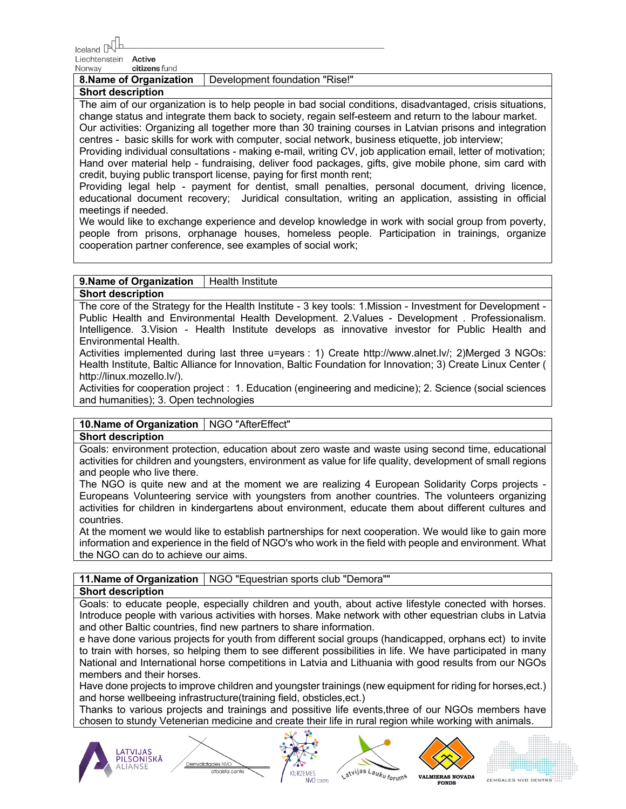$I$ celand  $\mathbb{R}$ 

Liechtenstein **Active** Norway citizens fund

**8.Name of Organization** | Development foundation "Rise!" **Short description**

The aim of our organization is to help people in bad social conditions, disadvantaged, crisis situations, change status and integrate them back to society, regain self-esteem and return to the labour market. Our activities: Organizing all together more than 30 training courses in Latvian prisons and integration

centres - basic skills for work with computer, social network, business etiquette, job interview; Providing individual consultations - making e-mail, writing CV, job application email, letter of motivation; Hand over material help - fundraising, deliver food packages, gifts, give mobile phone, sim card with credit, buying public transport license, paying for first month rent;

Providing legal help - payment for dentist, small penalties, personal document, driving licence, educational document recovery; Juridical consultation, writing an application, assisting in official meetings if needed.

We would like to exchange experience and develop knowledge in work with social group from poverty, people from prisons, orphanage houses, homeless people. Participation in trainings, organize cooperation partner conference, see examples of social work;

# **9.Name of Organization** | Health Institute

## **Short description**

The core of the Strategy for the Health Institute - 3 key tools: 1.Mission - Investment for Development - Public Health and Environmental Health Development. 2.Values - Development . Professionalism. Intelligence. 3.Vision - Health Institute develops as innovative investor for Public Health and Environmental Health.

Activities implemented during last three u=years : 1) Create http://www.alnet.lv/; 2)Merged 3 NGOs: Health Institute, Baltic Alliance for Innovation, Baltic Foundation for Innovation; 3) Create Linux Center ( http://linux.mozello.lv/).

Activities for cooperation project : 1. Education (engineering and medicine); 2. Science (social sciences and humanities); 3. Open technologies

## **10. Name of Organization** | NGO "AfterEffect"

### **Short description**

Goals: environment protection, education about zero waste and waste using second time, educational activities for children and youngsters, environment as value for life quality, development of small regions and people who live there.

The NGO is quite new and at the moment we are realizing 4 European Solidarity Corps projects - Europeans Volunteering service with youngsters from another countries. The volunteers organizing activities for children in kindergartens about environment, educate them about different cultures and countries.

At the moment we would like to establish partnerships for next cooperation. We would like to gain more information and experience in the field of NGO's who work in the field with people and environment. What the NGO can do to achieve our aims.

# **11. Name of Organization** | NGO "Equestrian sports club "Demora""

Dienvidlatgales NVO

## **Short description**

Goals: to educate people, especially children and youth, about active lifestyle conected with horses. Introduce people with various activities with horses. Make network with other equestrian clubs in Latvia and other Baltic countries, find new partners to share information.

e have done various projects for youth from different social groups (handicapped, orphans ect) to invite to train with horses, so helping them to see different possibilities in life. We have participated in many National and International horse competitions in Latvia and Lithuania with good results from our NGOs members and their horses.

Have done projects to improve children and youngster trainings (new equipment for riding for horses,ect.) and horse wellbeeing infrastructure(training field, obsticles,ect.)

Thanks to various projects and trainings and possitive life events,three of our NGOs members have chosen to stundy Vetenerian medicine and create their life in rural region while working with animals.









**VALMIERAS NOVADA FONDS** 

ZEMGALES NVD CENTRS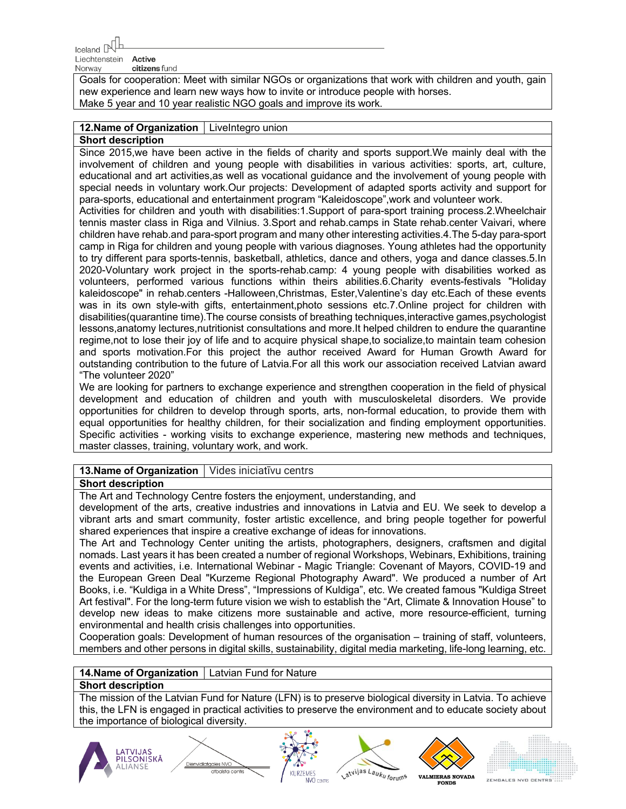Liechtenstein **Active** Norway citizens fund

Goals for cooperation: Meet with similar NGOs or organizations that work with children and youth, gain new experience and learn new ways how to invite or introduce people with horses. Make 5 year and 10 year realistic NGO goals and improve its work.

# 12. Name of Organization | LiveIntegro union

## **Short description**

Since 2015,we have been active in the fields of charity and sports support.We mainly deal with the involvement of children and young people with disabilities in various activities: sports, art, culture, educational and art activities,as well as vocational guidance and the involvement of young people with special needs in voluntary work.Our projects: Development of adapted sports activity and support for para-sports, educational and entertainment program "Kaleidoscope",work and volunteer work.

Activities for children and youth with disabilities:1.Support of para-sport training process.2.Wheelchair tennis master class in Riga and Vilnius. 3.Sport and rehab.camps in State rehab.center Vaivari, where children have rehab.and para-sport program and many other interesting activities.4.The 5-day para-sport camp in Riga for children and young people with various diagnoses. Young athletes had the opportunity to try different para sports-tennis, basketball, athletics, dance and others, yoga and dance classes.5.In 2020-Voluntary work project in the sports-rehab.camp: 4 young people with disabilities worked as volunteers, performed various functions within theirs abilities.6.Charity events-festivals "Holiday kaleidoscope" in rehab.centers -Halloween,Christmas, Ester,Valentine's day etc.Each of these events was in its own style-with gifts, entertainment, photo sessions etc. 7. Online project for children with disabilities(quarantine time).The course consists of breathing techniques,interactive games,psychologist lessons,anatomy lectures,nutritionist consultations and more.It helped children to endure the quarantine regime,not to lose their joy of life and to acquire physical shape,to socialize,to maintain team cohesion and sports motivation.For this project the author received Award for Human Growth Award for outstanding contribution to the future of Latvia.For all this work our association received Latvian award "The volunteer 2020"

We are looking for partners to exchange experience and strengthen cooperation in the field of physical development and education of children and youth with musculoskeletal disorders. We provide opportunities for children to develop through sports, arts, non-formal education, to provide them with equal opportunities for healthy children, for their socialization and finding employment opportunities. Specific activities - working visits to exchange experience, mastering new methods and techniques, master classes, training, voluntary work, and work.

## **13. Name of Organization** | Vides iniciatīvu centrs

### **Short description**

The Art and Technology Centre fosters the enjoyment, understanding, and

development of the arts, creative industries and innovations in Latvia and EU. We seek to develop a vibrant arts and smart community, foster artistic excellence, and bring people together for powerful shared experiences that inspire a creative exchange of ideas for innovations.

The Art and Technology Center uniting the artists, photographers, designers, craftsmen and digital nomads. Last years it has been created a number of regional Workshops, Webinars, Exhibitions, training events and activities, i.e. International Webinar - Magic Triangle: Covenant of Mayors, COVID-19 and the European Green Deal "Kurzeme Regional Photography Award". We produced a number of Art Books, i.e. "Kuldiga in a White Dress", "Impressions of Kuldiga", etc. We created famous "Kuldiga Street Art festival". For the long-term future vision we wish to establish the "Art, Climate & Innovation House" to develop new ideas to make citizens more sustainable and active, more resource-efficient, turning environmental and health crisis challenges into opportunities.

Cooperation goals: Development of human resources of the organisation – training of staff, volunteers, members and other persons in digital skills, sustainability, digital media marketing, life-long learning, etc.

## **14.Name of Organization** Latvian Fund for Nature

Dienvidlatgales NVO

### **Short description**

The mission of the Latvian Fund for Nature (LFN) is to preserve biological diversity in Latvia. To achieve this, the LFN is engaged in practical activities to preserve the environment and to educate society about the importance of biological diversity.









**FONDS** 

**VALMIERAS NOVADA**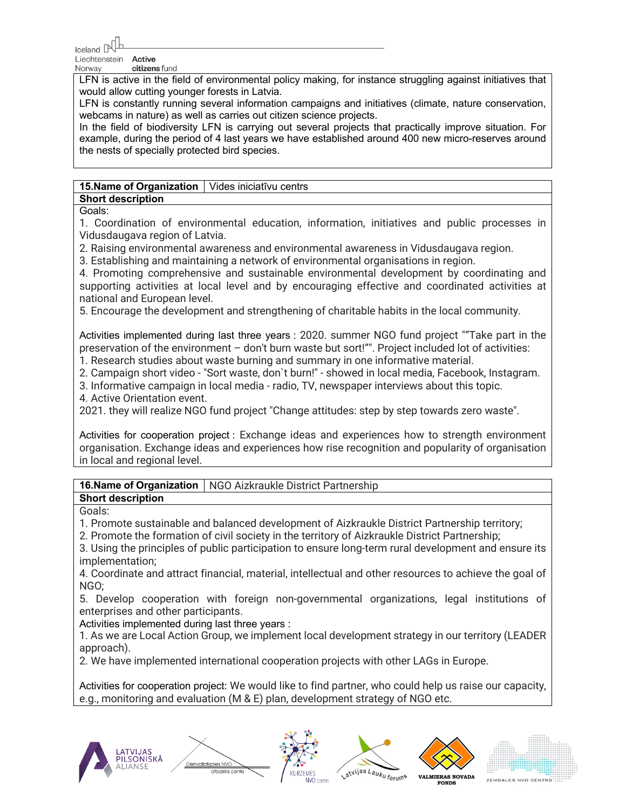$I$ <sub>celand</sub>

Liechtenstein Active citizens fund Norway

LFN is active in the field of environmental policy making, for instance struggling against initiatives that would allow cutting younger forests in Latvia.

LFN is constantly running several information campaigns and initiatives (climate, nature conservation, webcams in nature) as well as carries out citizen science projects.

In the field of biodiversity LFN is carrying out several projects that practically improve situation. For example, during the period of 4 last years we have established around 400 new micro-reserves around the nests of specially protected bird species.

## **15. Name of Organization** | Vides iniciatīvu centrs

**Short description**

Goals:

1. Coordination of environmental education, information, initiatives and public processes in Vidusdaugava region of Latvia.

2. Raising environmental awareness and environmental awareness in Vidusdaugava region.

3. Establishing and maintaining a network of environmental organisations in region.

4. Promoting comprehensive and sustainable environmental development by coordinating and supporting activities at local level and by encouraging effective and coordinated activities at national and European level.

5. Encourage the development and strengthening of charitable habits in the local community.

Activities implemented during last three years : 2020. summer NGO fund project ""Take part in the preservation of the environment – don't burn waste but sort!"". Project included lot of activities:

1. Research studies about waste burning and summary in one informative material.

2. Campaign short video - "Sort waste, don`t burn!" - showed in local media, Facebook, Instagram.

3. Informative campaign in local media - radio, TV, newspaper interviews about this topic.

4. Active Orientation event.

2021. they will realize NGO fund project "Change attitudes: step by step towards zero waste".

Activities for cooperation project : Exchange ideas and experiences how to strength environment organisation. Exchange ideas and experiences how rise recognition and popularity of organisation in local and regional level.

**16.Name of Organization** | NGO Aizkraukle District Partnership

# **Short description**

# Goals:

1. Promote sustainable and balanced development of Aizkraukle District Partnership territory;

2. Promote the formation of civil society in the territory of Aizkraukle District Partnership;

3. Using the principles of public participation to ensure long-term rural development and ensure its implementation;

4. Coordinate and attract financial, material, intellectual and other resources to achieve the goal of NGO;

5. Develop cooperation with foreign non-governmental organizations, legal institutions of enterprises and other participants.

Activities implemented during last three years :

Dienvidlatgales NVC

1. As we are Local Action Group, we implement local development strategy in our territory (LEADER approach).

2. We have implemented international cooperation projects with other LAGs in Europe.

Activities for cooperation project: We would like to find partner, who could help us raise our capacity, e.g., monitoring and evaluation (M & E) plan, development strategy of NGO etc.









**FONDS** 

**VALMIERAS NOVADA** ZEMGALES NVD CENTR